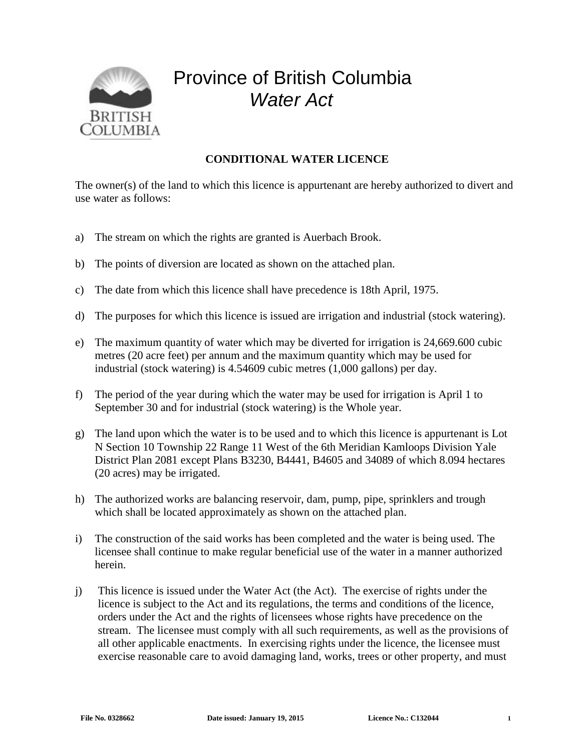

## Province of British Columbia *Water Act*

## **CONDITIONAL WATER LICENCE**

The owner(s) of the land to which this licence is appurtenant are hereby authorized to divert and use water as follows:

- a) The stream on which the rights are granted is Auerbach Brook.
- b) The points of diversion are located as shown on the attached plan.
- c) The date from which this licence shall have precedence is 18th April, 1975.
- d) The purposes for which this licence is issued are irrigation and industrial (stock watering).
- e) The maximum quantity of water which may be diverted for irrigation is 24,669.600 cubic metres (20 acre feet) per annum and the maximum quantity which may be used for industrial (stock watering) is 4.54609 cubic metres (1,000 gallons) per day.
- f) The period of the year during which the water may be used for irrigation is April 1 to September 30 and for industrial (stock watering) is the Whole year.
- g) The land upon which the water is to be used and to which this licence is appurtenant is Lot N Section 10 Township 22 Range 11 West of the 6th Meridian Kamloops Division Yale District Plan 2081 except Plans B3230, B4441, B4605 and 34089 of which 8.094 hectares (20 acres) may be irrigated.
- h) The authorized works are balancing reservoir, dam, pump, pipe, sprinklers and trough which shall be located approximately as shown on the attached plan.
- i) The construction of the said works has been completed and the water is being used. The licensee shall continue to make regular beneficial use of the water in a manner authorized herein.
- j) This licence is issued under the Water Act (the Act). The exercise of rights under the licence is subject to the Act and its regulations, the terms and conditions of the licence, orders under the Act and the rights of licensees whose rights have precedence on the stream. The licensee must comply with all such requirements, as well as the provisions of all other applicable enactments. In exercising rights under the licence, the licensee must exercise reasonable care to avoid damaging land, works, trees or other property, and must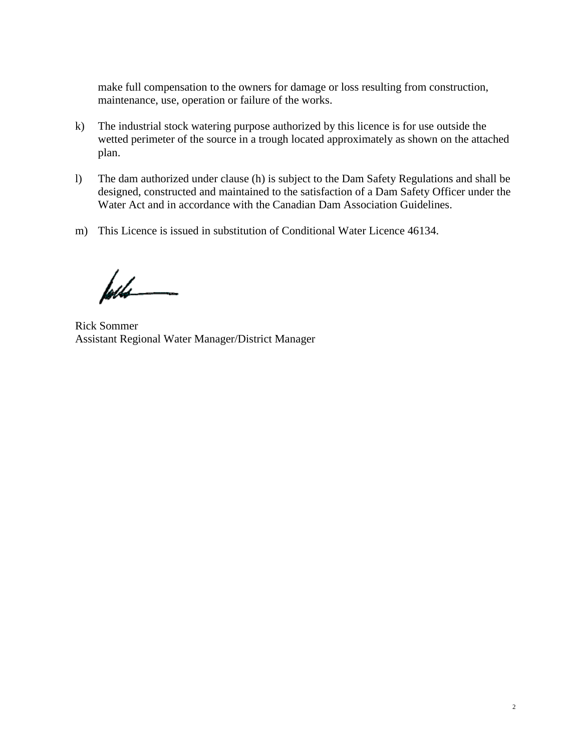make full compensation to the owners for damage or loss resulting from construction, maintenance, use, operation or failure of the works.

- k) The industrial stock watering purpose authorized by this licence is for use outside the wetted perimeter of the source in a trough located approximately as shown on the attached plan.
- l) The dam authorized under clause (h) is subject to the Dam Safety Regulations and shall be designed, constructed and maintained to the satisfaction of a Dam Safety Officer under the Water Act and in accordance with the Canadian Dam Association Guidelines.
- m) This Licence is issued in substitution of Conditional Water Licence 46134.

føds

Rick Sommer Assistant Regional Water Manager/District Manager